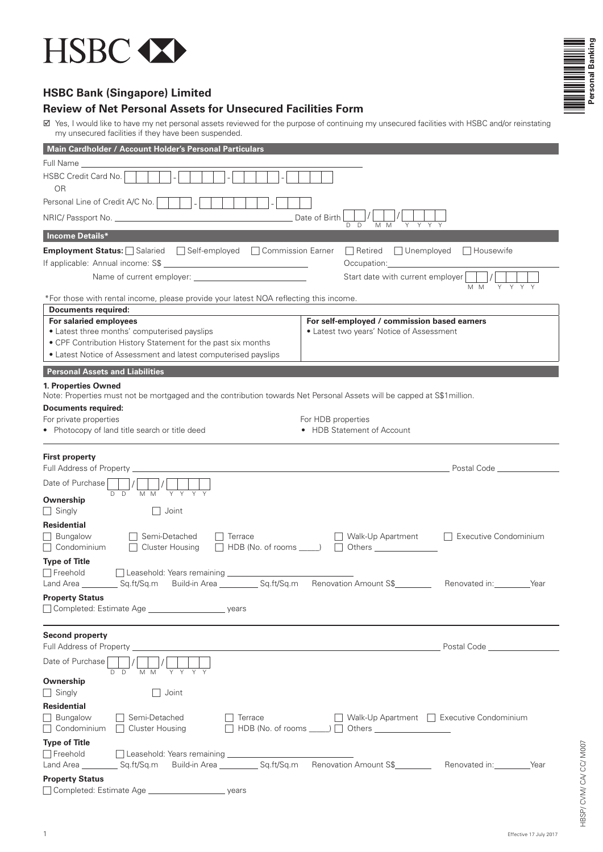



# **HSBC Bank (Singapore) Limited**

## **Review of Net Personal Assets for Unsecured Facilities Form**

■ Yes, I would like to have my net personal assets reviewed for the purpose of continuing my unsecured facilities with HSBC and/or reinstating my unsecured facilities if they have been suspended.

| Main Cardholder / Account Holder's Personal Particulars                                                                                                                                                                                                                                              |                                                                                                                                                                                                                                      |  |  |
|------------------------------------------------------------------------------------------------------------------------------------------------------------------------------------------------------------------------------------------------------------------------------------------------------|--------------------------------------------------------------------------------------------------------------------------------------------------------------------------------------------------------------------------------------|--|--|
| Full Name ________                                                                                                                                                                                                                                                                                   |                                                                                                                                                                                                                                      |  |  |
| HSBC Credit Card No.<br><b>OR</b>                                                                                                                                                                                                                                                                    |                                                                                                                                                                                                                                      |  |  |
| Personal Line of Credit A/C No.                                                                                                                                                                                                                                                                      |                                                                                                                                                                                                                                      |  |  |
| Date of Birth                                                                                                                                                                                                                                                                                        |                                                                                                                                                                                                                                      |  |  |
| M M<br>D.<br>D<br>Income Details*                                                                                                                                                                                                                                                                    |                                                                                                                                                                                                                                      |  |  |
| <b>Employment Status:</b> Salaried<br>Self-employed<br>□ Commission Earner<br>$\Box$ Retired $\Box$ Unemployed                                                                                                                                                                                       | $\Box$ Housewife                                                                                                                                                                                                                     |  |  |
|                                                                                                                                                                                                                                                                                                      |                                                                                                                                                                                                                                      |  |  |
| Start date with current employer                                                                                                                                                                                                                                                                     | M M<br>Y Y Y<br>Y.                                                                                                                                                                                                                   |  |  |
| *For those with rental income, please provide your latest NOA reflecting this income.                                                                                                                                                                                                                |                                                                                                                                                                                                                                      |  |  |
| Documents required:                                                                                                                                                                                                                                                                                  |                                                                                                                                                                                                                                      |  |  |
| For salaried employees<br>For self-employed / commission based earners<br>• Latest three months' computerised payslips<br>• Latest two years' Notice of Assessment<br>• CPF Contribution History Statement for the past six months<br>• Latest Notice of Assessment and latest computerised payslips |                                                                                                                                                                                                                                      |  |  |
| <b>Personal Assets and Liabilities</b>                                                                                                                                                                                                                                                               |                                                                                                                                                                                                                                      |  |  |
| 1. Properties Owned<br>Note: Properties must not be mortgaged and the contribution towards Net Personal Assets will be capped at S\$1million.                                                                                                                                                        |                                                                                                                                                                                                                                      |  |  |
| <b>Documents required:</b>                                                                                                                                                                                                                                                                           |                                                                                                                                                                                                                                      |  |  |
| For private properties<br>For HDB properties                                                                                                                                                                                                                                                         |                                                                                                                                                                                                                                      |  |  |
| • Photocopy of land title search or title deed<br>• HDB Statement of Account                                                                                                                                                                                                                         |                                                                                                                                                                                                                                      |  |  |
| <b>First property</b><br>Date of Purchase                                                                                                                                                                                                                                                            | Postal Code <b>Communist Communist Communist Communist Communist Communist Communist Communist Communist Communist Communist Communist Communist Communist Communist Communist Communist Communist Communist Communist Communist</b> |  |  |
| MM YYYY<br>D D<br>Ownership<br>$\Box$ Singly<br>$\Box$ Joint                                                                                                                                                                                                                                         |                                                                                                                                                                                                                                      |  |  |
| Residential                                                                                                                                                                                                                                                                                          |                                                                                                                                                                                                                                      |  |  |
| □ Semi-Detached<br><b>Bungalow</b><br>$\Box$ Walk-Up Apartment<br>    Terrace<br>$\Box$ Condominium<br>$\Box$ Cluster Housing                                                                                                                                                                        | □ Executive Condominium                                                                                                                                                                                                              |  |  |
| <b>Type of Title</b>                                                                                                                                                                                                                                                                                 |                                                                                                                                                                                                                                      |  |  |
| $\Box$ Freehold<br>□ Leasehold: Years remaining <u>entitled</u>                                                                                                                                                                                                                                      |                                                                                                                                                                                                                                      |  |  |
| Land Area _____________Sq.ft/Sq.m Build-in Area _______________Sq.ft/Sq.m Renovation Amount S\$___________                                                                                                                                                                                           | Renovated in: __________Year                                                                                                                                                                                                         |  |  |
| <b>Property Status</b>                                                                                                                                                                                                                                                                               |                                                                                                                                                                                                                                      |  |  |
| <b>Second property</b>                                                                                                                                                                                                                                                                               | Postal Code <u>____________________</u>                                                                                                                                                                                              |  |  |
| Date of Purchase<br>D<br>D                                                                                                                                                                                                                                                                           |                                                                                                                                                                                                                                      |  |  |
| Ownership                                                                                                                                                                                                                                                                                            |                                                                                                                                                                                                                                      |  |  |
| Joint<br>    Singly<br>$\mathsf{L}$                                                                                                                                                                                                                                                                  |                                                                                                                                                                                                                                      |  |  |
| <b>Residential</b>                                                                                                                                                                                                                                                                                   |                                                                                                                                                                                                                                      |  |  |
| <b>Bungalow</b><br>□ Semi-Detached<br>$\Box$ Terrace<br>    Walk-Up Apartment     Executive Condominium<br>$\Box$ Condominium<br>$\Box$ Cluster Housing<br>$\Box$ HDB (No. of rooms $\Box$ ) $\Box$ Others $\Box$                                                                                    |                                                                                                                                                                                                                                      |  |  |
| <b>Type of Title</b>                                                                                                                                                                                                                                                                                 |                                                                                                                                                                                                                                      |  |  |
| $\Box$ Freehold<br>Leasehold: Years remaining ___________                                                                                                                                                                                                                                            |                                                                                                                                                                                                                                      |  |  |
| Build-in Area _____________ Sq.ft/Sq.m Renovation Amount S\$__________<br>Land Area ____________ Sq.ft/Sq.m                                                                                                                                                                                          | Renovated in: __________Year                                                                                                                                                                                                         |  |  |
| <b>Property Status</b>                                                                                                                                                                                                                                                                               |                                                                                                                                                                                                                                      |  |  |
| □ Completed: Estimate Age <u>example and</u><br>years                                                                                                                                                                                                                                                |                                                                                                                                                                                                                                      |  |  |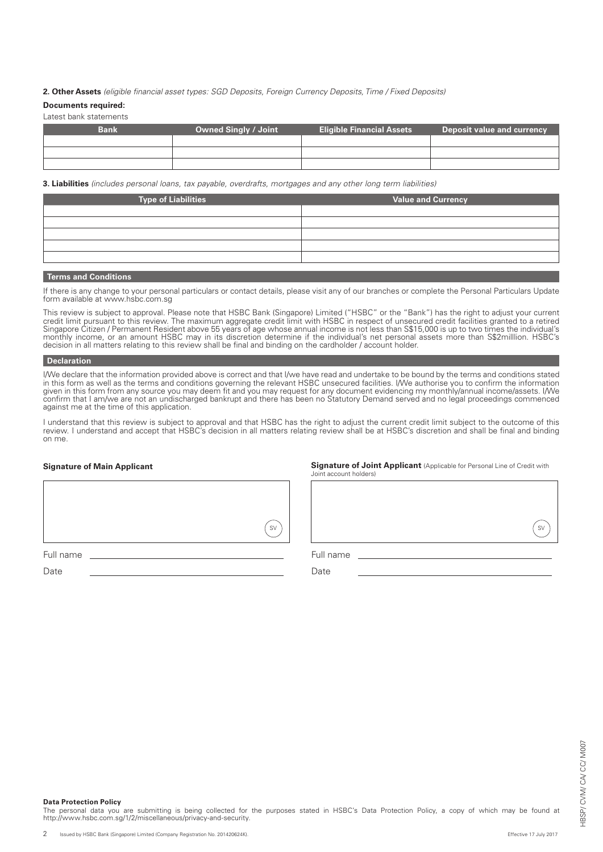### **2. Other Assets** *(eligible financial asset types: SGD Deposits, Foreign Currency Deposits, Time / Fixed Deposits)*

#### **Documents required:**

Latest bank statements

| <b>Bank</b> | <b>Owned Singly / Joint</b> | <b>Eligible Financial Assets</b> | <b>Deposit value and currency</b> |
|-------------|-----------------------------|----------------------------------|-----------------------------------|
|             |                             |                                  |                                   |
|             |                             |                                  |                                   |
|             |                             |                                  |                                   |

**3. Liabilities** *(includes personal loans, tax payable, overdrafts, mortgages and any other long term liabilities)*

| <b>Type of Liabilities</b> | Value and Currency |
|----------------------------|--------------------|
|                            |                    |
|                            |                    |
|                            |                    |
|                            |                    |
|                            |                    |
|                            |                    |

### **Terms and Conditions**

If there is any change to your personal particulars or contact details, please visit any of our branches or complete the Personal Particulars Update form available at www.hsbc.com.sg

This review is subject to approval. Please note that HSBC Bank (Singapore) Limited ("HSBC" or the "Bank") has the right to adjust your current credit limit pursuant to this review. The maximum aggregate credit limit with HSBC in respect of unsecured credit facilities granted to a retired Singapore Citizen / Permanent Resident above 55 years of age whose annual income is not less than S\$15,000 is up to two times the individual's monthly income, or an amount HSBC may in its discretion determine if the individual's net personal assets more than S\$2milllion. HSBC's decision in all matters relating to this review shall be final and binding on the cardholder / account holder.

#### **Declaration**

I/We declare that the information provided above is correct and that I/we have read and undertake to be bound by the terms and conditions stated in this form as well as the terms and conditions governing the relevant HSBC unsecured facilities. I/We authorise you to confirm the information given in this form from any source you may deem fit and you may request for any document evidencing my monthly/annual income/assets. I/We confirm that I am/we are not an undischarged bankrupt and there has been no Statutory Demand served and no legal proceedings commenced against me at the time of this application.

I understand that this review is subject to approval and that HSBC has the right to adjust the current credit limit subject to the outcome of this review. I understand and accept that HSBC's decision in all matters relating review shall be at HSBC's discretion and shall be final and binding on me.

## **Signature of Main Applicant**

**Signature of Joint Applicant** (Applicable for Personal Line of Credit with Joint account holders)

SV

Full name

Date

Full name

Date

#### **Data Protection Policy**

The personal data you are submitting is being collected for the purposes stated in HSBC's Data Protection Policy, a copy of which may be found at<br>http://www.hsbc.com.sg/1/2/miscellaneous/privacy-and-security.

SV